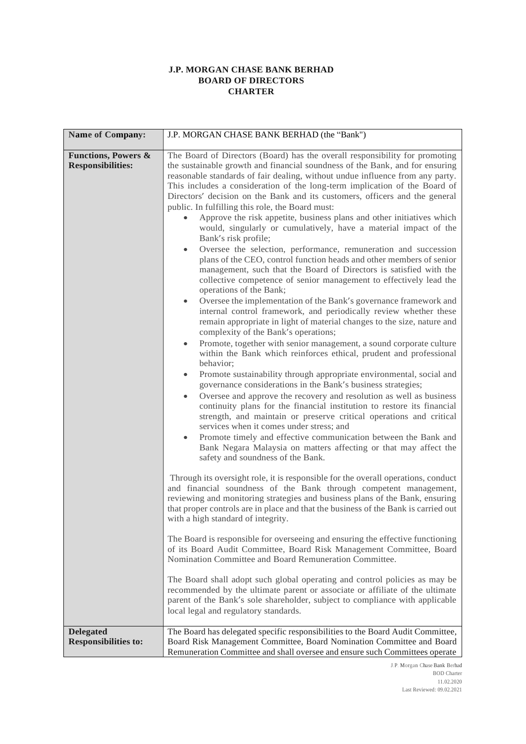## **J.P. MORGAN CHASE BANK BERHAD BOARD OF DIRECTORS CHARTER**

| Name of Company:                                           | J.P. MORGAN CHASE BANK BERHAD (the "Bank")                                                                                                                                                                                                                                                                                                                                                                                                                                                                                                                                                                                                                                                                                                                                                                                                                                                                                                                                                                                                                                                                                                                                                                                                                                                                                                                                                                                                                                                                                                                                                                                                                                                                                                                                                                                                                                                                                                                                                                                                                                                                                                                                                                                                                                                                                                                                                                                                                                                                                                                                                                                                                                                                                                                                                                                                                                           |  |  |  |
|------------------------------------------------------------|--------------------------------------------------------------------------------------------------------------------------------------------------------------------------------------------------------------------------------------------------------------------------------------------------------------------------------------------------------------------------------------------------------------------------------------------------------------------------------------------------------------------------------------------------------------------------------------------------------------------------------------------------------------------------------------------------------------------------------------------------------------------------------------------------------------------------------------------------------------------------------------------------------------------------------------------------------------------------------------------------------------------------------------------------------------------------------------------------------------------------------------------------------------------------------------------------------------------------------------------------------------------------------------------------------------------------------------------------------------------------------------------------------------------------------------------------------------------------------------------------------------------------------------------------------------------------------------------------------------------------------------------------------------------------------------------------------------------------------------------------------------------------------------------------------------------------------------------------------------------------------------------------------------------------------------------------------------------------------------------------------------------------------------------------------------------------------------------------------------------------------------------------------------------------------------------------------------------------------------------------------------------------------------------------------------------------------------------------------------------------------------------------------------------------------------------------------------------------------------------------------------------------------------------------------------------------------------------------------------------------------------------------------------------------------------------------------------------------------------------------------------------------------------------------------------------------------------------------------------------------------------|--|--|--|
| <b>Functions, Powers &amp;</b><br><b>Responsibilities:</b> | The Board of Directors (Board) has the overall responsibility for promoting<br>the sustainable growth and financial soundness of the Bank, and for ensuring<br>reasonable standards of fair dealing, without undue influence from any party.<br>This includes a consideration of the long-term implication of the Board of<br>Directors' decision on the Bank and its customers, officers and the general<br>public. In fulfilling this role, the Board must:<br>Approve the risk appetite, business plans and other initiatives which<br>would, singularly or cumulatively, have a material impact of the<br>Bank's risk profile;<br>Oversee the selection, performance, remuneration and succession<br>$\bullet$<br>plans of the CEO, control function heads and other members of senior<br>management, such that the Board of Directors is satisfied with the<br>collective competence of senior management to effectively lead the<br>operations of the Bank;<br>Oversee the implementation of the Bank's governance framework and<br>internal control framework, and periodically review whether these<br>remain appropriate in light of material changes to the size, nature and<br>complexity of the Bank's operations;<br>Promote, together with senior management, a sound corporate culture<br>within the Bank which reinforces ethical, prudent and professional<br>behavior;<br>Promote sustainability through appropriate environmental, social and<br>٠<br>governance considerations in the Bank's business strategies;<br>Oversee and approve the recovery and resolution as well as business<br>continuity plans for the financial institution to restore its financial<br>strength, and maintain or preserve critical operations and critical<br>services when it comes under stress; and<br>Promote timely and effective communication between the Bank and<br>$\bullet$<br>Bank Negara Malaysia on matters affecting or that may affect the<br>safety and soundness of the Bank.<br>Through its oversight role, it is responsible for the overall operations, conduct<br>and financial soundness of the Bank through competent management,<br>reviewing and monitoring strategies and business plans of the Bank, ensuring<br>that proper controls are in place and that the business of the Bank is carried out<br>with a high standard of integrity.<br>The Board is responsible for overseeing and ensuring the effective functioning<br>of its Board Audit Committee, Board Risk Management Committee, Board<br>Nomination Committee and Board Remuneration Committee.<br>The Board shall adopt such global operating and control policies as may be<br>recommended by the ultimate parent or associate or affiliate of the ultimate<br>parent of the Bank's sole shareholder, subject to compliance with applicable<br>local legal and regulatory standards. |  |  |  |
| <b>Delegated</b><br><b>Responsibilities to:</b>            | The Board has delegated specific responsibilities to the Board Audit Committee,<br>Board Risk Management Committee, Board Nomination Committee and Board<br>Remuneration Committee and shall oversee and ensure such Committees operate                                                                                                                                                                                                                                                                                                                                                                                                                                                                                                                                                                                                                                                                                                                                                                                                                                                                                                                                                                                                                                                                                                                                                                                                                                                                                                                                                                                                                                                                                                                                                                                                                                                                                                                                                                                                                                                                                                                                                                                                                                                                                                                                                                                                                                                                                                                                                                                                                                                                                                                                                                                                                                              |  |  |  |